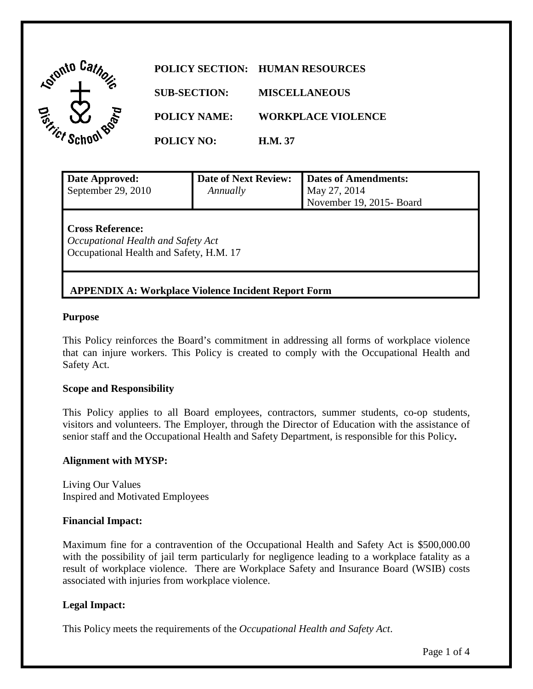| <b>Astonto</b> |                     | POLICY SECTION: HUMAN RESOURCES |
|----------------|---------------------|---------------------------------|
|                | <b>SUB-SECTION:</b> | <b>MISCELLANEOUS</b>            |
|                | <b>POLICY NAME:</b> | <b>WORKPLACE VIOLENCE</b>       |
|                | <b>POLICY NO:</b>   | <b>H.M.</b> 37                  |

**APPENDIX A: Workplace Violence Incident Report Form** 

| Date Approved:<br>September 29, 2010                                                                     | <b>Date of Next Review:</b><br>Annually | <b>Dates of Amendments:</b><br>May 27, 2014<br>November 19, 2015- Board |
|----------------------------------------------------------------------------------------------------------|-----------------------------------------|-------------------------------------------------------------------------|
| <b>Cross Reference:</b><br>Occupational Health and Safety Act<br>Occupational Health and Safety, H.M. 17 |                                         |                                                                         |

# **Purpose**

 This Policy reinforces the Board's commitment in addressing all forms of workplace violence that can injure workers. This Policy is created to comply with the Occupational Health and Safety Act.

#### **Scope and Responsibility**

This Policy applies to all Board employees, contractors, summer students, co-op students, visitors and volunteers. The Employer, through the Director of Education with the assistance of senior staff and the Occupational Health and Safety Department, is responsible for this Policy**.** 

#### **Alignment with MYSP:**

Living Our Values Inspired and Motivated Employees

#### **Financial Impact:**

Maximum fine for a contravention of the Occupational Health and Safety Act is [\\$500,000.00](https://500,000.00) with the possibility of jail term particularly for negligence leading to a workplace fatality as a result of workplace violence. There are Workplace Safety and Insurance Board (WSIB) costs associated with injuries from workplace violence.

## **Legal Impact:**

This Policy meets the requirements of the *Occupational Health and Safety Act*.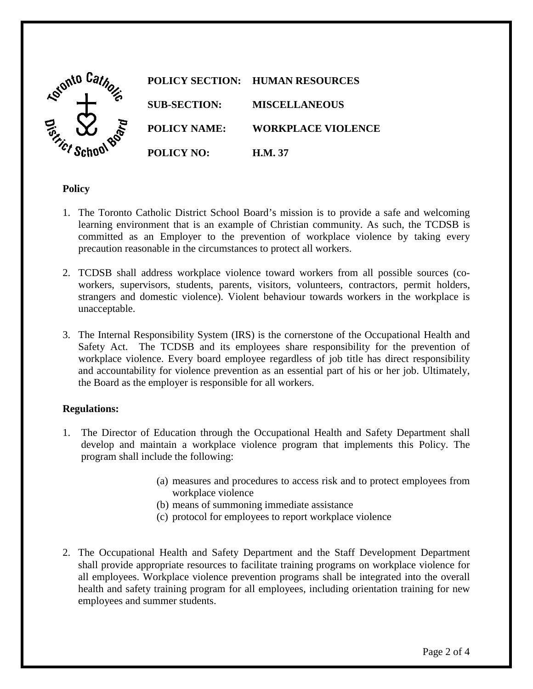

## **Policy**

- 1. The Toronto Catholic District School Board's mission is to provide a safe and welcoming learning environment that is an example of Christian community. As such, the TCDSB is committed as an Employer to the prevention of workplace violence by taking every precaution reasonable in the circumstances to protect all workers.
- 2. TCDSB shall address workplace violence toward workers from all possible sources (coworkers, supervisors, students, parents, visitors, volunteers, contractors, permit holders, strangers and domestic violence). Violent behaviour towards workers in the workplace is unacceptable.
- 3. The Internal Responsibility System (IRS) is the cornerstone of the Occupational Health and Safety Act. The TCDSB and its employees share responsibility for the prevention of workplace violence. Every board employee regardless of job title has direct responsibility and accountability for violence prevention as an essential part of his or her job. Ultimately, the Board as the employer is responsible for all workers.

## **Regulations:**

- 1. The Director of Education through the Occupational Health and Safety Department shall develop and maintain a workplace violence program that implements this Policy. The program shall include the following:
	- (a) measures and procedures to access risk and to protect employees from workplace violence
	- (b) means of summoning immediate assistance
	- (c) protocol for employees to report workplace violence
- 2. The Occupational Health and Safety Department and the Staff Development Department shall provide appropriate resources to facilitate training programs on workplace violence for all employees. Workplace violence prevention programs shall be integrated into the overall health and safety training program for all employees, including orientation training for new employees and summer students.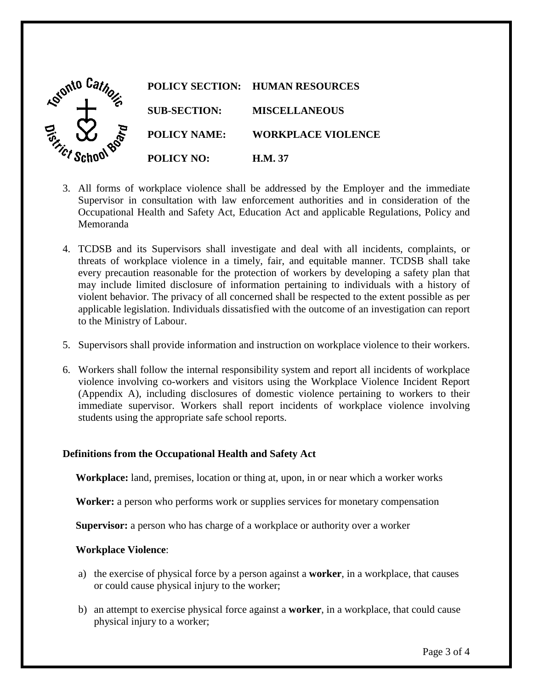

- Memoranda 3. All forms of workplace violence shall be addressed by the Employer and the immediate Supervisor in consultation with law enforcement authorities and in consideration of the Occupational Health and Safety Act, Education Act and applicable Regulations, Policy and
- may include limited disclosure of information pertaining to individuals with a history of violent behavior. The privacy of all concerned shall be respected to the extent possible as per Memoranda 4. TCDSB and its Supervisors shall investigate and deal with all incidents, complaints, or threats of workplace violence in a timely, fair, and equitable manner. TCDSB shall take every precaution reasonable for the protection of workers by developing a safety plan that applicable legislation. Individuals dissatisfied with the outcome of an investigation can report to the Ministry of Labour.
- 5. Supervisors shall provide information and instruction on workplace violence to their workers.
- 6. Workers shall follow the internal responsibility system and report all incidents of workplace violence involving co-workers and visitors using the Workplace Violence Incident Report (Appendix A), including disclosures of domestic violence pertaining to workers to their immediate supervisor. Workers shall report incidents of workplace violence involving students using the appropriate safe school reports.

## **Definitions from the Occupational Health and Safety Act**

**Workplace:** land, premises, location or thing at, upon, in or near which a worker works

**Worker:** a person who performs work or supplies services for monetary compensation

**Supervisor:** a person who has charge of a workplace or authority over a worker

#### **Workplace Violence**:

- a) the exercise of physical force by a person against a **worker**, in a workplace, that causes or could cause physical injury to the worker;
- physical injury to a worker; b) an attempt to exercise physical force against a **worker**, in a workplace, that could cause